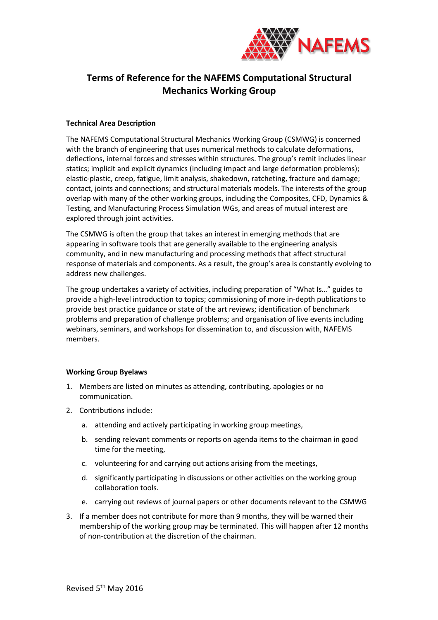

## **Terms of Reference for the NAFEMS Computational Structural Mechanics Working Group**

## **Technical Area Description**

The NAFEMS Computational Structural Mechanics Working Group (CSMWG) is concerned with the branch of engineering that uses numerical methods to calculate deformations, deflections, internal forces and stresses within structures. The group's remit includes linear statics; implicit and explicit dynamics (including impact and large deformation problems); elastic-plastic, creep, fatigue, limit analysis, shakedown, ratcheting, fracture and damage; contact, joints and connections; and structural materials models. The interests of the group overlap with many of the other working groups, including the Composites, CFD, Dynamics & Testing, and Manufacturing Process Simulation WGs, and areas of mutual interest are explored through joint activities.

The CSMWG is often the group that takes an interest in emerging methods that are appearing in software tools that are generally available to the engineering analysis community, and in new manufacturing and processing methods that affect structural response of materials and components. As a result, the group's area is constantly evolving to address new challenges.

The group undertakes a variety of activities, including preparation of "What Is…" guides to provide a high-level introduction to topics; commissioning of more in-depth publications to provide best practice guidance or state of the art reviews; identification of benchmark problems and preparation of challenge problems; and organisation of live events including webinars, seminars, and workshops for dissemination to, and discussion with, NAFEMS members.

## **Working Group Byelaws**

- 1. Members are listed on minutes as attending, contributing, apologies or no communication.
- 2. Contributions include:
	- a. attending and actively participating in working group meetings,
	- b. sending relevant comments or reports on agenda items to the chairman in good time for the meeting,
	- c. volunteering for and carrying out actions arising from the meetings,
	- d. significantly participating in discussions or other activities on the working group collaboration tools.
	- e. carrying out reviews of journal papers or other documents relevant to the CSMWG
- 3. If a member does not contribute for more than 9 months, they will be warned their membership of the working group may be terminated. This will happen after 12 months of non-contribution at the discretion of the chairman.